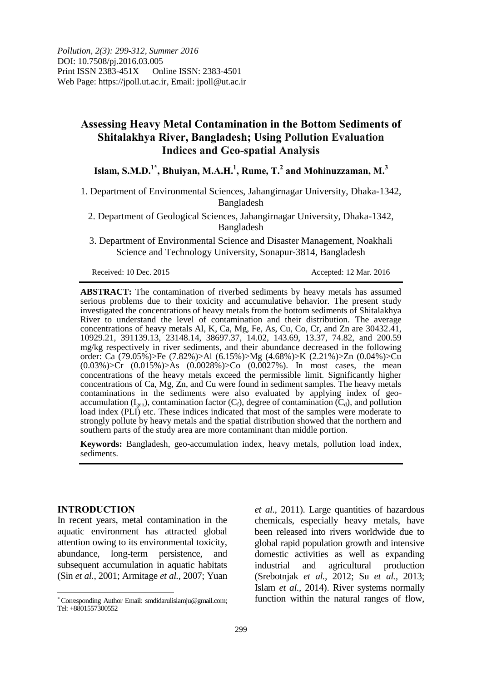# **Assessing Heavy Metal Contamination in the Bottom Sediments of Shitalakhya River, Bangladesh; Using Pollution Evaluation Indices and Geo-spatial Analysis**

# **Islam, S.M.D.1\* , Bhuiyan, M.A.H.<sup>1</sup> , Rume, T.<sup>2</sup> and Mohinuzzaman, M.<sup>3</sup>**

1. Department of Environmental Sciences, Jahangirnagar University, Dhaka-1342, Bangladesh

2. Department of Geological Sciences, Jahangirnagar University, Dhaka-1342, Bangladesh

3. Department of Environmental Science and Disaster Management, Noakhali Science and Technology University, Sonapur-3814, Bangladesh

Received: 10 Dec. 2015 Accepted: 12 Mar. 2016

**ABSTRACT:** The contamination of riverbed sediments by heavy metals has assumed serious problems due to their toxicity and accumulative behavior. The present study investigated the concentrations of heavy metals from the bottom sediments of Shitalakhya River to understand the level of contamination and their distribution. The average concentrations of heavy metals Al, K, Ca, Mg, Fe, As, Cu, Co, Cr, and Zn are 30432.41, 10929.21, 391139.13, 23148.14, 38697.37, 14.02, 143.69, 13.37, 74.82, and 200.59 mg/kg respectively in river sediments, and their abundance decreased in the following order: Ca (79.05%)>Fe (7.82%)>Al (6.15%)>Mg (4.68%)>K (2.21%)>Zn (0.04%)>Cu (0.03%)>Cr (0.015%)>As (0.0028%)>Co (0.0027%). In most cases, the mean concentrations of the heavy metals exceed the permissible limit. Significantly higher concentrations of Ca, Mg, Zn, and Cu were found in sediment samples. The heavy metals contaminations in the sediments were also evaluated by applying index of geoaccumulation ( $I_{\text{geo}}$ ), contamination factor ( $C_f$ ), degree of contamination ( $C_d$ ), and pollution load index (PLI) etc. These indices indicated that most of the samples were moderate to strongly pollute by heavy metals and the spatial distribution showed that the northern and southern parts of the study area are more contaminant than middle portion.

**Keywords:** Bangladesh, geo-accumulation index, heavy metals, pollution load index, sediments.

### **INTRODUCTION**

 $\overline{a}$ 

In recent years, metal contamination in the aquatic environment has attracted global attention owing to its environmental toxicity, abundance, long-term persistence, and subsequent accumulation in aquatic habitats (Sin *et al.,* 2001; Armitage *et al.,* 2007; Yuan *et al.,* 2011). Large quantities of hazardous chemicals, especially heavy metals, have been released into rivers worldwide due to global rapid population growth and intensive domestic activities as well as expanding industrial and agricultural production (Srebotnjak *et al.,* 2012; Su *et al.,* 2013; Islam *et al.,* 2014). River systems normally function within the natural ranges of flow,

Corresponding Author Email: smdidarulislamju@gmail.com; Tel: +8801557300552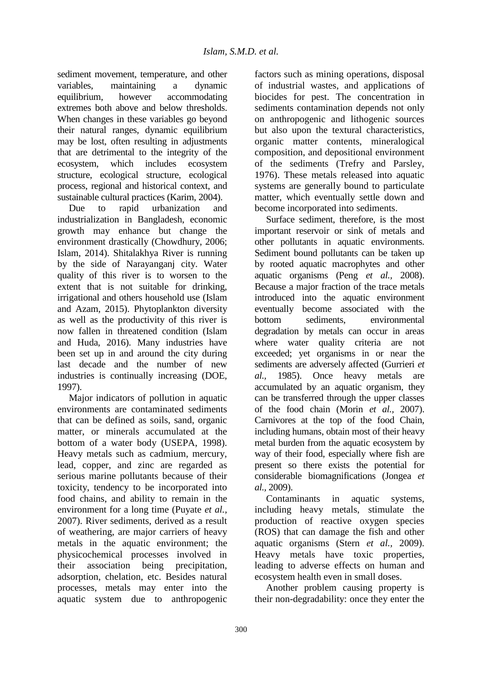sediment movement, temperature, and other variables, maintaining a dynamic equilibrium, however accommodating extremes both above and below thresholds. When changes in these variables go beyond their natural ranges, dynamic equilibrium may be lost, often resulting in adjustments that are detrimental to the integrity of the ecosystem, which includes ecosystem structure, ecological structure, ecological process, regional and historical context, and sustainable cultural practices (Karim, 2004).

Due to rapid urbanization and industrialization in Bangladesh, economic growth may enhance but change the environment drastically (Chowdhury, 2006; Islam, 2014). Shitalakhya River is running by the side of Narayanganj city. Water quality of this river is to worsen to the extent that is not suitable for drinking, irrigational and others household use (Islam and Azam, 2015). Phytoplankton diversity as well as the productivity of this river is now fallen in threatened condition (Islam and Huda, 2016). Many industries have been set up in and around the city during last decade and the number of new industries is continually increasing (DOE, 1997).

Major indicators of pollution in aquatic environments are contaminated sediments that can be defined as soils, sand, organic matter, or minerals accumulated at the bottom of a water body (USEPA, 1998). Heavy metals such as cadmium, mercury, lead, copper, and zinc are regarded as serious marine pollutants because of their toxicity, tendency to be incorporated into food chains, and ability to remain in the environment for a long time (Puyate *et al.,* 2007). River sediments, derived as a result of weathering, are major carriers of heavy metals in the aquatic environment; the physicochemical processes involved in their association being precipitation, adsorption, chelation, etc. Besides natural processes, metals may enter into the aquatic system due to anthropogenic

factors such as mining operations, disposal of industrial wastes, and applications of biocides for pest. The concentration in sediments contamination depends not only on anthropogenic and lithogenic sources but also upon the textural characteristics, organic matter contents, mineralogical composition, and depositional environment of the sediments (Trefry and Parsley, 1976). These metals released into aquatic systems are generally bound to particulate matter, which eventually settle down and become incorporated into sediments.

Surface sediment, therefore, is the most important reservoir or sink of metals and other pollutants in aquatic environments. Sediment bound pollutants can be taken up by rooted aquatic macrophytes and other aquatic organisms (Peng *et al.,* 2008). Because a major fraction of the trace metals introduced into the aquatic environment eventually become associated with the bottom sediments, environmental degradation by metals can occur in areas where water quality criteria are not exceeded; yet organisms in or near the sediments are adversely affected (Gurrieri *et al.,* 1985). Once heavy metals are accumulated by an aquatic organism, they can be transferred through the upper classes of the food chain (Morin *et al.,* 2007). Carnivores at the top of the food Chain, including humans, obtain most of their heavy metal burden from the aquatic ecosystem by way of their food, especially where fish are present so there exists the potential for considerable biomagnifications (Jongea *et al.,* 2009).

Contaminants in aquatic systems, including heavy metals, stimulate the production of reactive oxygen species (ROS) that can damage the fish and other aquatic organisms (Stern *et al.,* 2009). Heavy metals have toxic properties, leading to adverse effects on human and ecosystem health even in small doses.

Another problem causing property is their non-degradability: once they enter the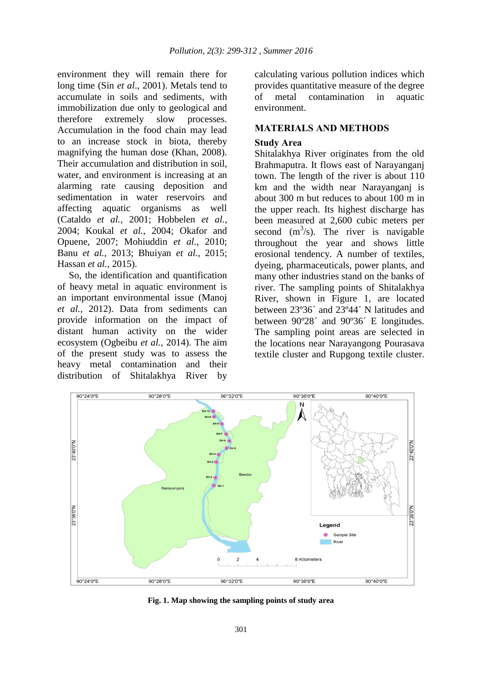environment they will remain there for long time (Sin *et al*., 2001). Metals tend to accumulate in soils and sediments, with immobilization due only to geological and therefore extremely slow processes. Accumulation in the food chain may lead to an increase stock in biota, thereby magnifying the human dose (Khan, 2008). Their accumulation and distribution in soil, water, and environment is increasing at an alarming rate causing deposition and sedimentation in water reservoirs and affecting aquatic organisms as well (Cataldo *et al.,* 2001; Hobbelen *et al.,* 2004; Koukal *et al.,* 2004; Okafor and Opuene, 2007; Mohiuddin *et al.,* 2010; Banu *et al.,* 2013; Bhuiyan *et al.,* 2015; Hassan *et al.,* 2015).

So, the identification and quantification of heavy metal in aquatic environment is an important environmental issue (Manoj *et al.,* 2012). Data from sediments can provide information on the impact of distant human activity on the wider ecosystem (Ogbeibu *et al.,* 2014). The aim of the present study was to assess the heavy metal contamination and their distribution of Shitalakhya River by

calculating various pollution indices which provides quantitative measure of the degree of metal contamination in aquatic environment.

# **MATERIALS AND METHODS**

# **Study Area**

Shitalakhya River originates from the old Brahmaputra. It flows east of Narayanganj town. The length of the river is about 110 km and the width near Narayanganj is about 300 m but reduces to about 100 m in the upper reach. Its highest discharge has been measured at 2,600 cubic meters per second  $(m^3/s)$ . The river is navigable throughout the year and shows little erosional tendency. A number of textiles, dyeing, pharmaceuticals, power plants, and many other industries stand on the banks of river. The sampling points of Shitalakhya River, shown in Figure 1, are located between 23º36´ and 23º44´ N latitudes and between 90º28´ and 90º36´ E longitudes. The sampling point areas are selected in the locations near Narayangong Pourasava textile cluster and Rupgong textile cluster.



**Fig. 1. Map showing the sampling points of study area**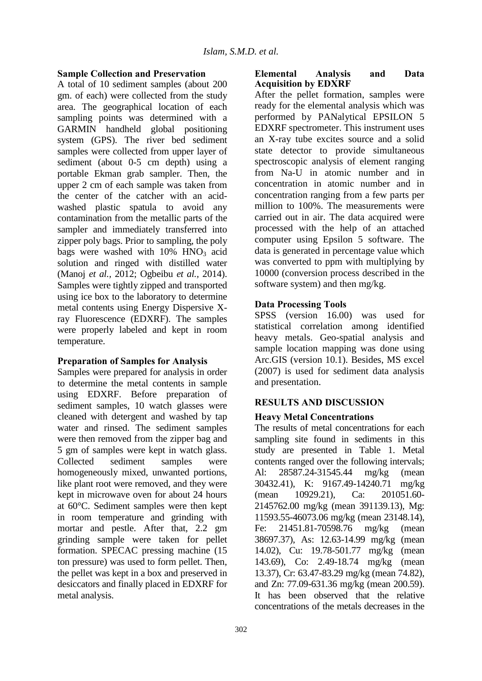# **Sample Collection and Preservation**

A total of 10 sediment samples (about 200 gm. of each) were collected from the study area. The geographical location of each sampling points was determined with a GARMIN handheld global positioning system (GPS). The river bed sediment samples were collected from upper layer of sediment (about 0-5 cm depth) using a portable Ekman grab sampler. Then, the upper 2 cm of each sample was taken from the center of the catcher with an acidwashed plastic spatula to avoid any contamination from the metallic parts of the sampler and immediately transferred into zipper poly bags. Prior to sampling, the poly bags were washed with  $10\%$  HNO<sub>3</sub> acid solution and ringed with distilled water (Manoj *et al.,* 2012; Ogbeibu *et al.,* 2014). Samples were tightly zipped and transported using ice box to the laboratory to determine metal contents using Energy Dispersive Xray Fluorescence (EDXRF). The samples were properly labeled and kept in room temperature.

# **Preparation of Samples for Analysis**

Samples were prepared for analysis in order to determine the metal contents in sample using EDXRF. Before preparation of sediment samples, 10 watch glasses were cleaned with detergent and washed by tap water and rinsed. The sediment samples were then removed from the zipper bag and 5 gm of samples were kept in watch glass. Collected sediment samples were homogeneously mixed, unwanted portions, like plant root were removed, and they were kept in microwave oven for about 24 hours at 60°C. Sediment samples were then kept in room temperature and grinding with mortar and pestle. After that, 2.2 gm grinding sample were taken for pellet formation. SPECAC pressing machine (15 ton pressure) was used to form pellet. Then, the pellet was kept in a box and preserved in desiccators and finally placed in EDXRF for metal analysis.

## **Elemental Analysis and Data Acquisition by EDXRF**

After the pellet formation, samples were ready for the elemental analysis which was performed by PANalytical EPSILON 5 EDXRF spectrometer. This instrument uses an X-ray tube excites source and a solid state detector to provide simultaneous spectroscopic analysis of element ranging from Na-U in atomic number and in concentration in atomic number and in concentration ranging from a few parts per million to 100%. The measurements were carried out in air. The data acquired were processed with the help of an attached computer using Epsilon 5 software. The data is generated in percentage value which was converted to ppm with multiplying by 10000 (conversion process described in the software system) and then mg/kg.

# **Data Processing Tools**

SPSS (version 16.00) was used for statistical correlation among identified heavy metals. Geo-spatial analysis and sample location mapping was done using Arc.GIS (version 10.1). Besides, MS excel (2007) is used for sediment data analysis and presentation.

# **RESULTS AND DISCUSSION**

# **Heavy Metal Concentrations**

The results of metal concentrations for each sampling site found in sediments in this study are presented in Table 1. Metal contents ranged over the following intervals; Al: 28587.24-31545.44 mg/kg (mean 30432.41), K: 9167.49-14240.71 mg/kg (mean 10929.21), Ca: 201051.60- 2145762.00 mg/kg (mean 391139.13), Mg: 11593.55-46073.06 mg/kg (mean 23148.14), Fe: 21451.81-70598.76 mg/kg (mean 38697.37), As: 12.63-14.99 mg/kg (mean 14.02), Cu: 19.78-501.77 mg/kg (mean 143.69), Co: 2.49-18.74 mg/kg (mean 13.37), Cr: 63.47-83.29 mg/kg (mean 74.82), and Zn: 77.09-631.36 mg/kg (mean 200.59). It has been observed that the relative concentrations of the metals decreases in the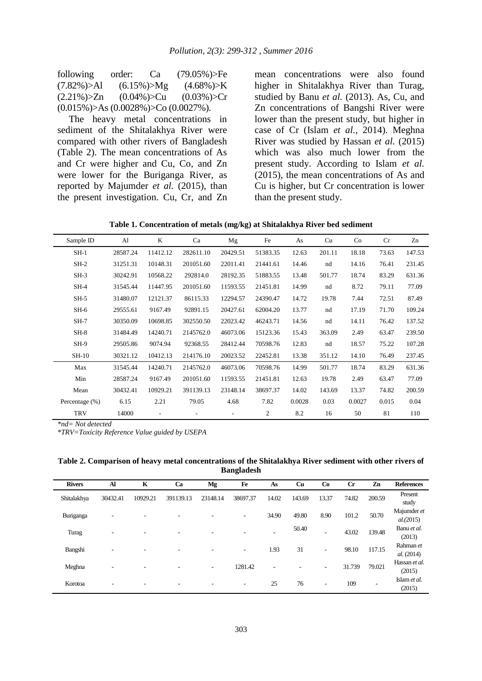| following                                       | order: | Ca              | $(79.05\%)$ >Fe |
|-------------------------------------------------|--------|-----------------|-----------------|
| $(7.82\%) > Al$                                 |        | $(6.15\%) > Mg$ | $(4.68\%) > K$  |
| $(2.21\%)Zn$                                    |        | $(0.04\%)$ >Cu  | $(0.03\%)$ > Cr |
| $(0.015\%)$ >As $(0.0028\%)$ >Co $(0.0027\%)$ . |        |                 |                 |

The heavy metal concentrations in sediment of the Shitalakhya River were compared with other rivers of Bangladesh (Table 2). The mean concentrations of As and Cr were higher and Cu, Co, and Zn were lower for the Buriganga River, as reported by Majumder *et al.* (2015), than the present investigation. Cu, Cr, and Zn

mean concentrations were also found higher in Shitalakhya River than Turag, studied by Banu *et al.* (2013). As, Cu, and Zn concentrations of Bangshi River were lower than the present study, but higher in case of Cr (Islam *et al.,* 2014). Meghna River was studied by Hassan *et al.* (2015) which was also much lower from the present study. According to Islam *et al.* (2015), the mean concentrations of As and Cu is higher, but Cr concentration is lower than the present study.

| Table 1. Concentration of metals (mg/kg) at Shitalakhya River bed sediment |  |  |  |  |  |
|----------------------------------------------------------------------------|--|--|--|--|--|
|----------------------------------------------------------------------------|--|--|--|--|--|

| Sample ID      | Al       | K              | Ca        | Mg       | Fe       | As     | Cu     | Co     | Cr    | Zn     |
|----------------|----------|----------------|-----------|----------|----------|--------|--------|--------|-------|--------|
| $SH-1$         | 28587.24 | 11412.12       | 282611.10 | 20429.51 | 51383.35 | 12.63  | 201.11 | 18.18  | 73.63 | 147.53 |
| $SH-2$         | 31251.31 | 10148.31       | 201051.60 | 22011.41 | 21441.61 | 14.46  | nd     | 14.16  | 76.41 | 231.45 |
| $SH-3$         | 30242.91 | 10568.22       | 292814.0  | 28192.35 | 51883.55 | 13.48  | 501.77 | 18.74  | 83.29 | 631.36 |
| $SH-4$         | 31545.44 | 11447.95       | 201051.60 | 11593.55 | 21451.81 | 14.99  | nd     | 8.72   | 79.11 | 77.09  |
| $SH-5$         | 31480.07 | 12121.37       | 86115.33  | 12294.57 | 24390.47 | 14.72  | 19.78  | 7.44   | 72.51 | 87.49  |
| $SH-6$         | 29555.61 | 9167.49        | 92891.15  | 20427.61 | 62004.20 | 13.77  | nd     | 17.19  | 71.70 | 109.24 |
| $SH-7$         | 30350.09 | 10698.85       | 302550.50 | 22023.42 | 46243.71 | 14.56  | nd     | 14.11  | 76.42 | 137.52 |
| $SH-8$         | 31484.49 | 14240.71       | 2145762.0 | 46073.06 | 15123.36 | 15.43  | 363.09 | 2.49   | 63.47 | 239.50 |
| $SH-9$         | 29505.86 | 9074.94        | 92368.55  | 28412.44 | 70598.76 | 12.83  | nd     | 18.57  | 75.22 | 107.28 |
| $SH-10$        | 30321.12 | 10412.13       | 214176.10 | 20023.52 | 22452.81 | 13.38  | 351.12 | 14.10  | 76.49 | 237.45 |
| Max            | 31545.44 | 14240.71       | 2145762.0 | 46073.06 | 70598.76 | 14.99  | 501.77 | 18.74  | 83.29 | 631.36 |
| Min            | 28587.24 | 9167.49        | 201051.60 | 11593.55 | 21451.81 | 12.63  | 19.78  | 2.49   | 63.47 | 77.09  |
| Mean           | 30432.41 | 10929.21       | 391139.13 | 23148.14 | 38697.37 | 14.02  | 143.69 | 13.37  | 74.82 | 200.59 |
| Percentage (%) | 6.15     | 2.21           | 79.05     | 4.68     | 7.82     | 0.0028 | 0.03   | 0.0027 | 0.015 | 0.04   |
| <b>TRV</b>     | 14000    | $\overline{a}$ |           |          | 2        | 8.2    | 16     | 50     | 81    | 110    |

*\*nd= Not detected*

*\*TRV=Toxicity Reference Value guided by USEPA*

**Table 2. Comparison of heavy metal concentrations of the Shitalakhya River sediment with other rivers of Bangladesh**

| <b>Rivers</b> | Al       | $\mathbf K$ | Ca        | Mg                       | Fe       | As                       | Cu     | Co                       | $_{\rm Cr}$ | Zn                       | <b>References</b>         |
|---------------|----------|-------------|-----------|--------------------------|----------|--------------------------|--------|--------------------------|-------------|--------------------------|---------------------------|
| Shitalakhya   | 30432.41 | 10929.21    | 391139.13 | 23148.14                 | 38697.37 | 14.02                    | 143.69 | 13.37                    | 74.82       | 200.59                   | Present<br>study          |
| Buriganga     | ٠        | ۰           |           |                          | ۰        | 34.90                    | 49.80  | 8.90                     | 101.2       | 50.70                    | Majumder et<br>al. (2015) |
| Turag         | ۰        | ٠           | ۰         |                          |          | $\overline{\phantom{a}}$ | 50.40  | ٠                        | 43.02       | 139.48                   | Banu et al.<br>(2013)     |
| Bangshi       | ۰        | ٠           | ۰         | -                        | ٠        | 1.93                     | 31     | ۰.                       | 98.10       | 117.15                   | Rahman et<br>al. (2014)   |
| Meghna        | ۰        | ۰.          |           | $\overline{\phantom{a}}$ | 1281.42  | $\overline{\phantom{a}}$ |        | $\overline{\phantom{a}}$ | 31.739      | 79.021                   | Hassan et al.<br>(2015)   |
| Korotoa       |          | ٠           | -         |                          | ۰        | 25                       | 76     | ٠                        | 109         | $\overline{\phantom{a}}$ | Islam et al.<br>(2015)    |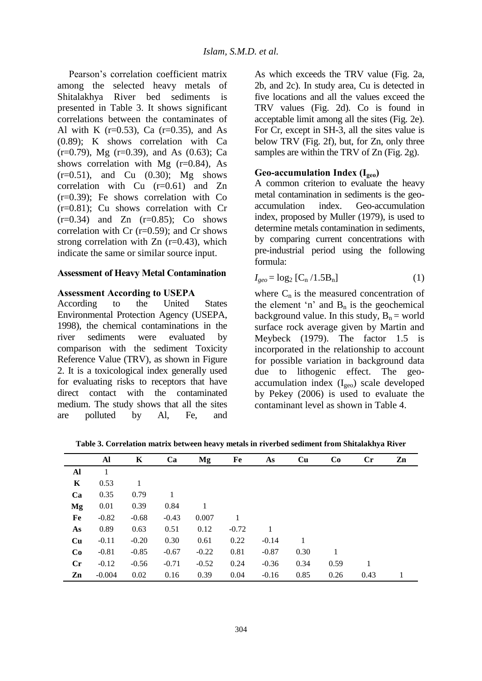Pearson's correlation coefficient matrix among the selected heavy metals of Shitalakhya River bed sediments is presented in Table 3. It shows significant correlations between the contaminates of Al with K  $(r=0.53)$ , Ca  $(r=0.35)$ , and As (0.89); K shows correlation with Ca  $(r=0.79)$ , Mg  $(r=0.39)$ , and As  $(0.63)$ ; Ca shows correlation with Mg  $(r=0.84)$ , As  $(r=0.51)$ , and Cu  $(0.30)$ ; Mg shows correlation with Cu (r=0.61) and Zn (r=0.39); Fe shows correlation with Co (r=0.81); Cu shows correlation with Cr  $(r=0.34)$  and  $Zn$   $(r=0.85)$ ; Co shows correlation with  $Cr$  ( $r=0.59$ ); and  $Cr$  shows strong correlation with  $Zn$  (r=0.43), which indicate the same or similar source input.

## **Assessment of Heavy Metal Contamination**

### **Assessment According to USEPA**

According to the United States Environmental Protection Agency (USEPA, 1998), the chemical contaminations in the river sediments were evaluated by comparison with the sediment Toxicity Reference Value (TRV), as shown in Figure 2. It is a toxicological index generally used for evaluating risks to receptors that have direct contact with the contaminated medium. The study shows that all the sites are polluted by Al, Fe, and

As which exceeds the TRV value (Fig. 2a, 2b, and 2c). In study area, Cu is detected in five locations and all the values exceed the TRV values (Fig. 2d). Co is found in acceptable limit among all the sites (Fig. 2e). For Cr, except in SH-3, all the sites value is below TRV (Fig. 2f), but, for Zn, only three samples are within the TRV of Zn (Fig. 2g).

## **Geo-accumulation Index (Igeo)**

A common criterion to evaluate the heavy metal contamination in sediments is the geoaccumulation index. Geo-accumulation index, proposed by Muller (1979), is used to determine metals contamination in sediments, by comparing current concentrations with pre-industrial period using the following formula:

$$
I_{geo} = \log_2 \left[ C_n / 1.5 B_n \right] \tag{1}
$$

where  $C_n$  is the measured concentration of the element 'n' and  $B_n$  is the geochemical background value. In this study,  $B_n$  = world surface rock average given by Martin and Meybeck (1979). The factor 1.5 is incorporated in the relationship to account for possible variation in background data due to lithogenic effect. The geoaccumulation index (Igeo) scale developed by Pekey (2006) is used to evaluate the contaminant level as shown in Table 4.

**Table 3. Correlation matrix between heavy metals in riverbed sediment from Shitalakhya River**

|                | Al       | K       | Ca      | Mg      | Fe      | As      | Cu   | Co   | Cr   | Zn |
|----------------|----------|---------|---------|---------|---------|---------|------|------|------|----|
| Al             | 1        |         |         |         |         |         |      |      |      |    |
| K              | 0.53     | 1       |         |         |         |         |      |      |      |    |
| Ca             | 0.35     | 0.79    | 1       |         |         |         |      |      |      |    |
| Mg             | 0.01     | 0.39    | 0.84    |         |         |         |      |      |      |    |
| Fe             | $-0.82$  | $-0.68$ | $-0.43$ | 0.007   |         |         |      |      |      |    |
| As             | 0.89     | 0.63    | 0.51    | 0.12    | $-0.72$ |         |      |      |      |    |
| Cu             | $-0.11$  | $-0.20$ | 0.30    | 0.61    | 0.22    | $-0.14$ |      |      |      |    |
| Co             | $-0.81$  | $-0.85$ | $-0.67$ | $-0.22$ | 0.81    | $-0.87$ | 0.30 | 1    |      |    |
| $\mathbf{C}$ r | $-0.12$  | $-0.56$ | $-0.71$ | $-0.52$ | 0.24    | $-0.36$ | 0.34 | 0.59 |      |    |
| Zn             | $-0.004$ | 0.02    | 0.16    | 0.39    | 0.04    | $-0.16$ | 0.85 | 0.26 | 0.43 |    |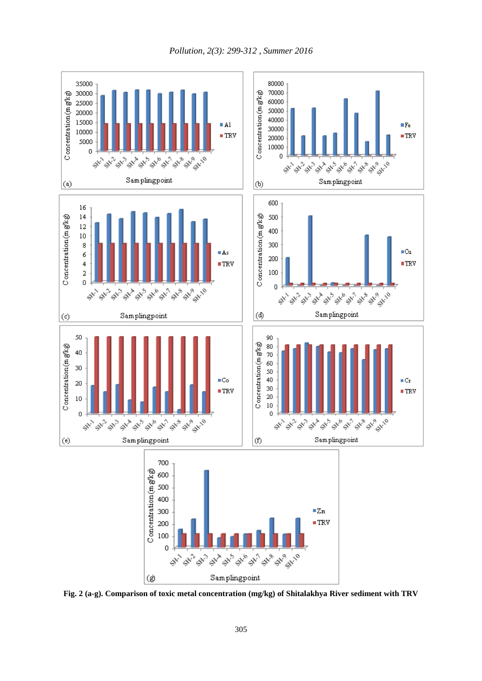*Pollution, 2(3): 299-312 , Summer 2016*



**Fig. 2 (a-g). Comparison of toxic metal concentration (mg/kg) of Shitalakhya River sediment with TRV**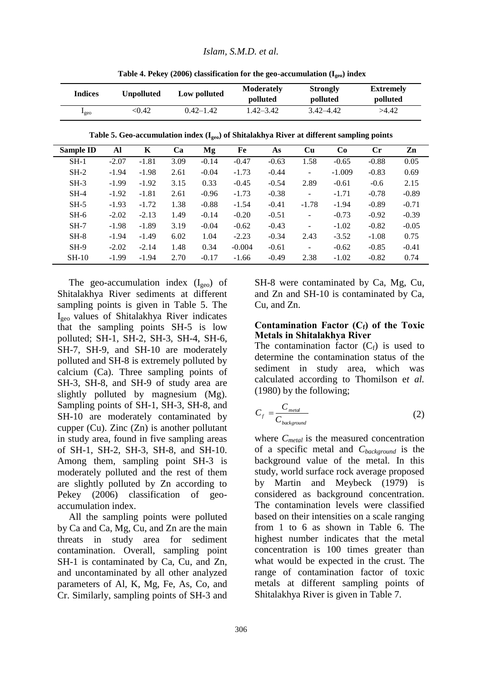| <b>Indices</b>  | <b>Unpolluted</b> | Low polluted  | <b>Moderately</b><br>polluted | <b>Strongly</b><br>polluted | <b>Extremely</b><br>polluted |
|-----------------|-------------------|---------------|-------------------------------|-----------------------------|------------------------------|
| $_{\text{geo}}$ | < 0.42            | $0.42 - 1.42$ | $1.42 - 3.42$                 | 3.42–4.42                   | >4.42                        |

**Sample ID Al K Ca Mg Fe As Cu Co Cr Zn** SH-1 -2.07 -1.81 3.09 -0.14 -0.47 -0.63 1.58 -0.65 -0.88 0.05 SH-2 -1.94 -1.98 2.61 -0.04 -1.73 -0.44 - -1.009 -0.83 0.69 SH-3 -1.99 -1.92 3.15 0.33 -0.45 -0.54 2.89 -0.61 -0.6 2.15 SH-4 -1.92 -1.81 2.61 -0.96 -1.73 -0.38 - -1.71 -0.78 -0.89 SH-5 -1.93 -1.72 1.38 -0.88 -1.54 -0.41 -1.78 -1.94 -0.89 -0.71 SH-6 -2.02 -2.13 1.49 -0.14 -0.20 -0.51 - -0.73 -0.92 -0.39 SH-7 -1.98 -1.89 3.19 -0.04 -0.62 -0.43 - -1.02 -0.82 -0.05 SH-8 -1.94 -1.49 6.02 1.04 -2.23 -0.34 2.43 -3.52 -1.08 0.75

**Table 4. Pekey (2006) classification for the geo-accumulation (Igeo) index**

SH-9 -2.02 -2.14 1.48 0.34 -0.004 -0.61 - -0.62 -0.85 -0.41 SH-10 -1.99 -1.94 2.70 -0.17 -1.66 -0.49 2.38 -1.02 -0.82 0.74 The geo-accumulation index  $(I_{geo})$  of Shitalakhya River sediments at different sampling points is given in Table 5. The Igeo values of Shitalakhya River indicates that the sampling points SH-5 is low polluted; SH-1, SH-2, SH-3, SH-4, SH-6, SH-7, SH-9, and SH-10 are moderately polluted and SH-8 is extremely polluted by calcium (Ca). Three sampling points of SH-3, SH-8, and SH-9 of study area are slightly polluted by magnesium (Mg). Sampling points of SH-1, SH-3, SH-8, and SH-10 are moderately contaminated by cupper (Cu). Zinc (Zn) is another pollutant in study area, found in five sampling areas of SH-1, SH-2, SH-3, SH-8, and SH-10. Among them, sampling point SH-3 is moderately polluted and the rest of them are slightly polluted by Zn according to Pekey (2006) classification of geoaccumulation index.

All the sampling points were polluted by Ca and Ca, Mg, Cu, and Zn are the main threats in study area for sediment contamination. Overall, sampling point SH-1 is contaminated by Ca, Cu, and Zn, and uncontaminated by all other analyzed parameters of Al, K, Mg, Fe, As, Co, and Cr. Similarly, sampling points of SH-3 and

SH-8 were contaminated by Ca, Mg, Cu, and Zn and SH-10 is contaminated by Ca, Cu, and Zn.

### **Contamination Factor (Cf) of the Toxic Metals in Shitalakhya River**

The contamination factor  $(C_f)$  is used to determine the contamination status of the sediment in study area, which was calculated according to Thomilson e*t al.* (1980) by the following;

$$
C_f = \frac{C_{\text{metal}}}{C_{\text{background}}}
$$
 (2)

where *Cmetal* is the measured concentration of a specific metal and *Cbackground* is the background value of the metal. In this study, world surface rock average proposed by Martin and Meybeck (1979) is considered as background concentration. The contamination levels were classified based on their intensities on a scale ranging from 1 to 6 as shown in Table 6. The highest number indicates that the metal concentration is 100 times greater than what would be expected in the crust. The range of contamination factor of toxic metals at different sampling points of Shitalakhya River is given in Table 7.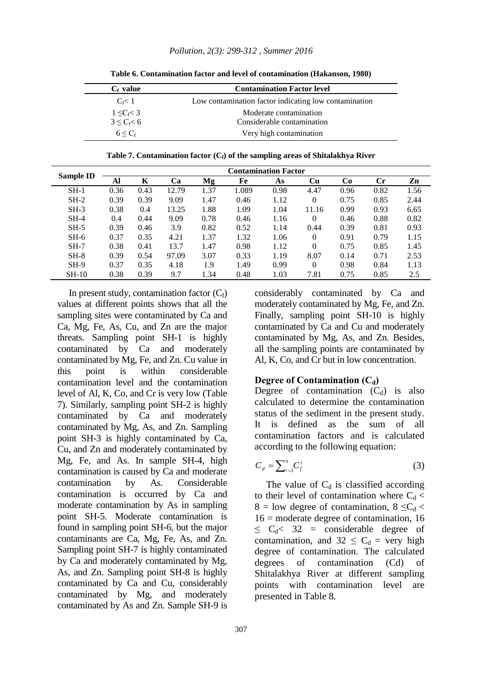| $C_f$ value      | <b>Contamination Factor level</b>                     |
|------------------|-------------------------------------------------------|
| $C \lt 1$        | Low contamination factor indicating low contamination |
| $1 \leq C_f < 3$ | Moderate contamination                                |
| $3 \leq C_f < 6$ | Considerable contamination                            |
| $6 < C_{\rm f}$  | Very high contamination                               |

**Table 6. Contamination factor and level of contamination (Hakanson, 1980)**

**Table 7. Contamination factor (Cf) of the sampling areas of Shitalakhya River**

| Sample ID<br>K<br>Ca<br>Mg<br>Co<br>$\mathbf{Cr}$<br>Zn<br>Fe<br>Cu<br>Al<br>As<br>1.37<br>1.089<br>$SH-1$<br>0.36<br>12.79<br>0.98<br>4.47<br>0.82<br>1.56<br>0.43<br>0.96<br>$SH-2$<br>0.39<br>0.39<br>9.09<br>1.47<br>1.12<br>0.85<br>0.46<br>0.75<br>2.44<br>$\Omega$<br>$SH-3$<br>0.38<br>1.88<br>1.09<br>1.04<br>13.25<br>0.99<br>0.93<br>6.65<br>11.16<br>0.4<br>0.82<br>$SH-4$<br>9.09<br>0.78<br>0.88<br>0.44<br>0.46<br>1.16<br>$\Omega$<br>0.46<br>0.4<br>0.39<br>0.82<br>0.93<br>$SH-5$<br>0.46<br>3.9<br>0.52<br>1.14<br>0.39<br>0.81<br>0.44<br>0.37<br>1.32<br>0.35<br>1.37<br>1.06<br>0.91<br>0.79<br>1.15<br>$SH-6$<br>4.21<br>$\Omega$<br>0.38<br>1.45<br>$SH-7$<br>1.47<br>0.98<br>1.12<br>$\Omega$<br>0.75<br>0.85<br>0.41<br>13.7<br>$SH-8$<br>0.39<br>0.33<br>97.09<br>3.07<br>1.19<br>8.07<br>0.71<br>2.53<br>0.54<br>0.14<br>0.37<br>1.49<br>0.99<br>0.98<br>$SH-9$<br>0.35<br>4.18<br>1.13<br>1.9<br>0.84<br>$\Omega$<br>$SH-10$<br>0.38<br>1.34<br>1.03<br>0.39<br>9.7<br>0.48<br>7.81<br>0.75<br>0.85<br>2.5 |  |  | <b>Contamination Factor</b> |  |  |  |
|-----------------------------------------------------------------------------------------------------------------------------------------------------------------------------------------------------------------------------------------------------------------------------------------------------------------------------------------------------------------------------------------------------------------------------------------------------------------------------------------------------------------------------------------------------------------------------------------------------------------------------------------------------------------------------------------------------------------------------------------------------------------------------------------------------------------------------------------------------------------------------------------------------------------------------------------------------------------------------------------------------------------------------------------|--|--|-----------------------------|--|--|--|
|                                                                                                                                                                                                                                                                                                                                                                                                                                                                                                                                                                                                                                                                                                                                                                                                                                                                                                                                                                                                                                         |  |  |                             |  |  |  |
|                                                                                                                                                                                                                                                                                                                                                                                                                                                                                                                                                                                                                                                                                                                                                                                                                                                                                                                                                                                                                                         |  |  |                             |  |  |  |
|                                                                                                                                                                                                                                                                                                                                                                                                                                                                                                                                                                                                                                                                                                                                                                                                                                                                                                                                                                                                                                         |  |  |                             |  |  |  |
|                                                                                                                                                                                                                                                                                                                                                                                                                                                                                                                                                                                                                                                                                                                                                                                                                                                                                                                                                                                                                                         |  |  |                             |  |  |  |
|                                                                                                                                                                                                                                                                                                                                                                                                                                                                                                                                                                                                                                                                                                                                                                                                                                                                                                                                                                                                                                         |  |  |                             |  |  |  |
|                                                                                                                                                                                                                                                                                                                                                                                                                                                                                                                                                                                                                                                                                                                                                                                                                                                                                                                                                                                                                                         |  |  |                             |  |  |  |
|                                                                                                                                                                                                                                                                                                                                                                                                                                                                                                                                                                                                                                                                                                                                                                                                                                                                                                                                                                                                                                         |  |  |                             |  |  |  |
|                                                                                                                                                                                                                                                                                                                                                                                                                                                                                                                                                                                                                                                                                                                                                                                                                                                                                                                                                                                                                                         |  |  |                             |  |  |  |
|                                                                                                                                                                                                                                                                                                                                                                                                                                                                                                                                                                                                                                                                                                                                                                                                                                                                                                                                                                                                                                         |  |  |                             |  |  |  |
|                                                                                                                                                                                                                                                                                                                                                                                                                                                                                                                                                                                                                                                                                                                                                                                                                                                                                                                                                                                                                                         |  |  |                             |  |  |  |
|                                                                                                                                                                                                                                                                                                                                                                                                                                                                                                                                                                                                                                                                                                                                                                                                                                                                                                                                                                                                                                         |  |  |                             |  |  |  |

In present study, contamination factor  $(C_f)$ values at different points shows that all the sampling sites were contaminated by Ca and Ca, Mg, Fe, As, Cu, and Zn are the major threats. Sampling point SH-1 is highly contaminated by Ca and moderately contaminated by Mg, Fe, and Zn. Cu value in this point is within considerable contamination level and the contamination level of Al, K, Co, and Cr is very low (Table 7). Similarly, sampling point SH-2 is highly contaminated by Ca and moderately contaminated by Mg, As, and Zn. Sampling point SH-3 is highly contaminated by Ca, Cu, and Zn and moderately contaminated by Mg, Fe, and As. In sample SH-4, high contamination is caused by Ca and moderate contamination by As. Considerable contamination is occurred by Ca and moderate contamination by As in sampling point SH-5. Moderate contamination is found in sampling point SH-6, but the major contaminants are Ca, Mg, Fe, As, and Zn. Sampling point SH-7 is highly contaminated by Ca and moderately contaminated by Mg, As, and Zn. Sampling point SH-8 is highly contaminated by Ca and Cu, considerably contaminated by Mg, and moderately contaminated by As and Zn. Sample SH-9 is considerably contaminated by Ca and moderately contaminated by Mg, Fe, and Zn. Finally, sampling point SH-10 is highly contaminated by Ca and Cu and moderately contaminated by Mg, As, and Zn. Besides, all the sampling points are contaminated by Al, K, Co, and Cr but in low concentration.

#### Degree of Contamination (C<sub>d</sub>)

Degree of contamination  $(C_d)$  is also calculated to determine the contamination status of the sediment in the present study. It is defined as the sum of all contamination factors and is calculated according to the following equation:

$$
C_d = \sum_{i=1}^n C_f^i \tag{3}
$$

The value of  $C_d$  is classified according to their level of contamination where  $C_d$  < 8 = low degree of contamination, 8  $\leq C_d$ 16 = moderate degree of contamination, 16  $\leq C_d < 32$  = considerable degree of contamination, and  $32 \leq C_d$  = very high degree of contamination. The calculated degrees of contamination (Cd) of Shitalakhya River at different sampling points with contamination level are presented in Table 8.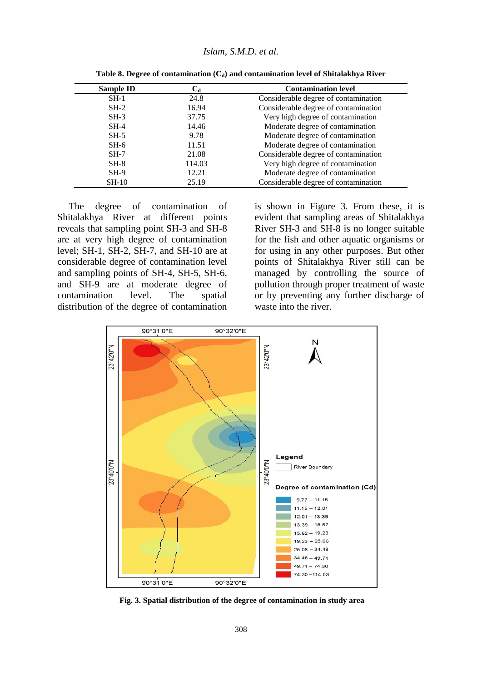| <b>Sample ID</b> | Ca     | <b>Contamination level</b>           |
|------------------|--------|--------------------------------------|
| $SH-1$           | 24.8   | Considerable degree of contamination |
| $SH-2$           | 16.94  | Considerable degree of contamination |
| $SH-3$           | 37.75  | Very high degree of contamination    |
| $SH-4$           | 14.46  | Moderate degree of contamination     |
| $SH-5$           | 9.78   | Moderate degree of contamination     |
| $SH-6$           | 11.51  | Moderate degree of contamination     |
| $SH-7$           | 21.08  | Considerable degree of contamination |
| $SH-8$           | 114.03 | Very high degree of contamination    |
| $SH-9$           | 12.21  | Moderate degree of contamination     |
| $SH-10$          | 25.19  | Considerable degree of contamination |

**Table 8. Degree of contamination (Cd) and contamination level of Shitalakhya River**

The degree of contamination of Shitalakhya River at different points reveals that sampling point SH-3 and SH-8 are at very high degree of contamination level; SH-1, SH-2, SH-7, and SH-10 are at considerable degree of contamination level and sampling points of SH-4, SH-5, SH-6, and SH-9 are at moderate degree of contamination level. The spatial distribution of the degree of contamination is shown in Figure 3. From these, it is evident that sampling areas of Shitalakhya River SH-3 and SH-8 is no longer suitable for the fish and other aquatic organisms or for using in any other purposes. But other points of Shitalakhya River still can be managed by controlling the source of pollution through proper treatment of waste or by preventing any further discharge of waste into the river.



**Fig. 3. Spatial distribution of the degree of contamination in study area**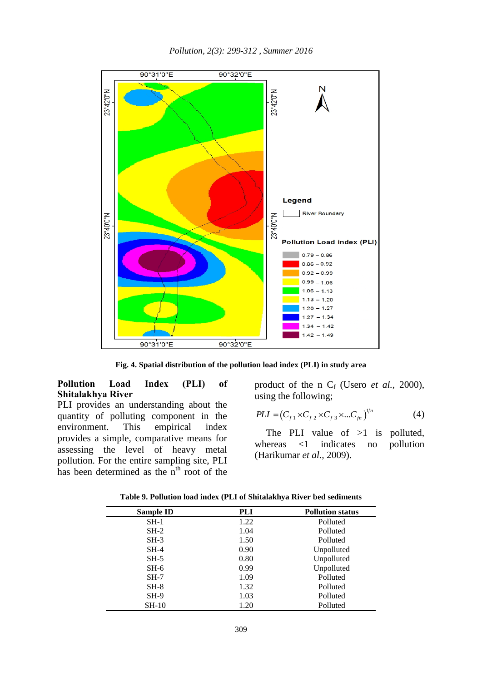*Pollution, 2(3): 299-312 , Summer 2016*



**Fig. 4. Spatial distribution of the pollution load index (PLI) in study area**

# **Pollution Load Index (PLI) of Shitalakhya River**

PLI provides an understanding about the quantity of polluting component in the environment. This empirical index provides a simple, comparative means for assessing the level of heavy metal pollution. For the entire sampling site, PLI has been determined as the  $n<sup>th</sup>$  root of the product of the n  $C_f$  (Usero *et al.*, 2000), using the following;

$$
PLI = (C_{f1} \times C_{f2} \times C_{f3} \times ... C_{fn})^{1/n}
$$
 (4)

The PLI value of  $>1$  is polluted, whereas <1 indicates no pollution (Harikumar *et al.,* 2009).

| Sample ID | <b>PLI</b> | <b>Pollution status</b> |
|-----------|------------|-------------------------|
| $SH-1$    | 1.22       | Polluted                |
| $SH-2$    | 1.04       | Polluted                |
| $SH-3$    | 1.50       | Polluted                |
| $SH-4$    | 0.90       | Unpolluted              |
| $SH-5$    | 0.80       | Unpolluted              |
| $SH-6$    | 0.99       | Unpolluted              |
| $SH-7$    | 1.09       | Polluted                |
| $SH-8$    | 1.32       | Polluted                |
| $SH-9$    | 1.03       | Polluted                |
| $SH-10$   | 1.20       | Polluted                |

**Table 9. Pollution load index (PLI of Shitalakhya River bed sediments**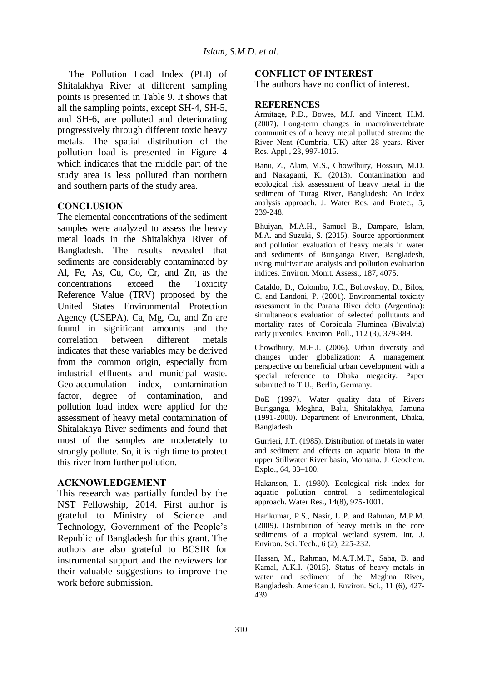The Pollution Load Index (PLI) of Shitalakhya River at different sampling points is presented in Table 9. It shows that all the sampling points, except SH-4, SH-5, and SH-6, are polluted and deteriorating progressively through different toxic heavy metals. The spatial distribution of the pollution load is presented in Figure 4 which indicates that the middle part of the study area is less polluted than northern and southern parts of the study area.

## **CONCLUSION**

The elemental concentrations of the sediment samples were analyzed to assess the heavy metal loads in the Shitalakhya River of Bangladesh. The results revealed that sediments are considerably contaminated by Al, Fe, As, Cu, Co, Cr, and Zn, as the concentrations exceed the Toxicity Reference Value (TRV) proposed by the United States Environmental Protection Agency (USEPA). Ca, Mg, Cu, and Zn are found in significant amounts and the correlation between different metals indicates that these variables may be derived from the common origin, especially from industrial effluents and municipal waste. Geo-accumulation index, contamination factor, degree of contamination, and pollution load index were applied for the assessment of heavy metal contamination of Shitalakhya River sediments and found that most of the samples are moderately to strongly pollute. So, it is high time to protect this river from further pollution.

### **ACKNOWLEDGEMENT**

This research was partially funded by the NST Fellowship, 2014. First author is grateful to Ministry of Science and Technology, Government of the People's Republic of Bangladesh for this grant. The authors are also grateful to BCSIR for instrumental support and the reviewers for their valuable suggestions to improve the work before submission.

### **CONFLICT OF INTEREST**

The authors have no conflict of interest.

#### **REFERENCES**

Armitage, P.D., Bowes, M.J. and Vincent, H.M. (2007). Long-term changes in macroinvertebrate communities of a heavy metal polluted stream: the River Nent (Cumbria, UK) after 28 years. River Res. Appl., 23, 997-1015.

Banu, Z., Alam, M.S., Chowdhury, Hossain, M.D. and Nakagami, K. (2013). Contamination and ecological risk assessment of heavy metal in the sediment of Turag River, Bangladesh: An index analysis approach. J. Water Res. and Protec., 5, 239-248.

Bhuiyan, M.A.H., Samuel B., Dampare, Islam, M.A. and Suzuki, S. (2015). Source apportionment and pollution evaluation of heavy metals in water and sediments of Buriganga River, Bangladesh, using multivariate analysis and pollution evaluation indices. Environ. Monit. Assess., 187, 4075.

Cataldo, D., Colombo, J.C., Boltovskoy, D., Bilos, C. and Landoni, P. (2001). Environmental toxicity assessment in the Parana River delta (Argentina): simultaneous evaluation of selected pollutants and mortality rates of Corbicula Fluminea (Bivalvia) early juveniles. Environ. Poll., 112 (3), 379-389.

Chowdhury, M.H.I. (2006). Urban diversity and changes under globalization: A management perspective on beneficial urban development with a special reference to Dhaka megacity. Paper submitted to T.U., Berlin, Germany.

DoE (1997). Water quality data of Rivers Buriganga, Meghna, Balu, Shitalakhya, Jamuna (1991-2000). Department of Environment, Dhaka, Bangladesh.

Gurrieri, J.T. (1985). Distribution of metals in water and sediment and effects on aquatic biota in the upper Stillwater River basin, Montana. J. Geochem. Explo., 64, 83–100.

Hakanson, L. (1980). Ecological risk index for aquatic pollution control, a sedimentological approach. Water Res., 14(8), 975-1001.

Harikumar, P.S., Nasir, U.P. and Rahman, M.P.M. (2009). Distribution of heavy metals in the core sediments of a tropical wetland system. Int. J. Environ. Sci. Tech., 6 (2), 225-232.

Hassan, M., Rahman, M.A.T.M.T., Saha, B. and Kamal, A.K.I. (2015). Status of heavy metals in water and sediment of the Meghna River, Bangladesh. American J. Environ. Sci., 11 (6), 427- 439.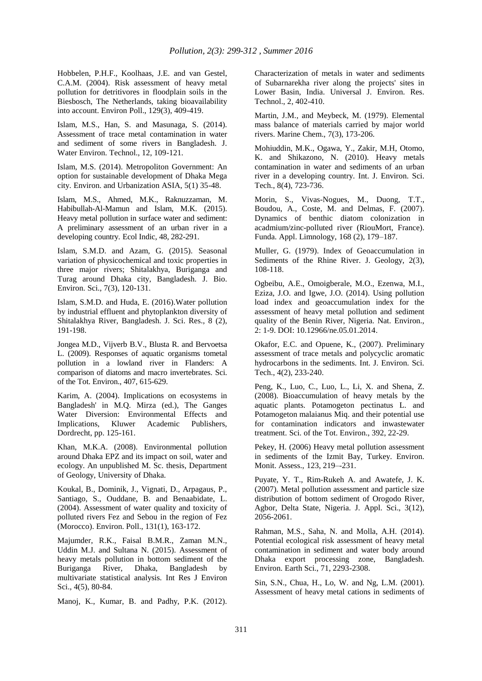Hobbelen, P.H.F., Koolhaas, J.E. and van Gestel, C.A.M. (2004). Risk assessment of heavy metal pollution for detritivores in floodplain soils in the Biesbosch, The Netherlands, taking bioavailability into account. Environ Poll., 129(3), 409-419.

Islam, M.S., Han, S. and Masunaga, S. (2014). Assessment of trace metal contamination in water and sediment of some rivers in Bangladesh. J. Water Environ. Technol., 12, 109-121.

Islam, M.S. (2014). Metropoliton Government: An option for sustainable development of Dhaka Mega city. Environ. and Urbanization ASIA, 5(1) 35-48.

Islam, M.S., Ahmed, M.K., Raknuzzaman, M. Habibullah-Al-Mamun and Islam, M.K. (2015). Heavy metal pollution in surface water and sediment: A preliminary assessment of an urban river in a developing country. Ecol Indic, 48, 282-291.

Islam, S.M.D. and Azam, G. (2015). Seasonal variation of physicochemical and toxic properties in three major rivers; Shitalakhya, Buriganga and Turag around Dhaka city, Bangladesh. J. Bio. Environ. Sci., 7(3), 120-131.

Islam, S.M.D. and Huda, E. (2016).Water pollution by industrial effluent and phytoplankton diversity of Shitalakhya River, Bangladesh. J. Sci. Res., 8 (2), 191-198.

Jongea M.D., Vijverb B.V., Blusta R. and Bervoetsa L. (2009). Responses of aquatic organisms tometal pollution in a lowland river in Flanders: A comparison of diatoms and macro invertebrates. Sci. of the Tot. Environ., 407, 615-629.

Karim, A. (2004). Implications on ecosystems in Bangladesh' in M.Q. Mirza (ed.), The Ganges Water Diversion: Environmental Effects and Implications, Kluwer Academic Publishers, Dordrecht, pp. 125-161.

Khan, M.K.A. (2008). Environmental pollution around Dhaka EPZ and its impact on soil, water and ecology. An unpublished M. Sc. thesis, Department of Geology, University of Dhaka.

Koukal, B., Dominik, J., Vignati, D., Arpagaus, P., Santiago, S., Ouddane, B. and Benaabidate, L. (2004). Assessment of water quality and toxicity of polluted rivers Fez and Sebou in the region of Fez (Morocco). Environ. Poll., 131(1), 163-172.

Majumder, R.K., Faisal B.M.R., Zaman M.N., Uddin M.J. and Sultana N. (2015). Assessment of heavy metals pollution in bottom sediment of the Buriganga River, Dhaka, Bangladesh by multivariate statistical analysis. Int Res J Environ Sci., 4(5), 80-84.

Manoj, K., Kumar, B. and Padhy, P.K. (2012).

Characterization of metals in water and sediments of Subarnarekha river along the projects' sites in Lower Basin, India. Universal J. Environ. Res. Technol., 2, 402-410.

Martin, J.M., and Meybeck, M. (1979). Elemental mass balance of materials carried by major world rivers. Marine Chem., 7(3), 173-206.

Mohiuddin, M.K., Ogawa, Y., Zakir, M.H, Otomo, K. and Shikazono, N. (2010). Heavy metals contamination in water and sediments of an urban river in a developing country. Int. J. Environ. Sci. Tech., 8(4), 723-736.

Morin, S., Vivas-Nogues, M., Duong, T.T., Boudou, A., Coste, M. and Delmas, F. (2007). Dynamics of benthic diatom colonization in acadmium/zinc-polluted river (RiouMort, France). Funda. Appl. Limnology, 168 (2), 179–187.

Muller, G. (1979). Index of Geoaccumulation in Sediments of the Rhine River. J. Geology, 2(3), 108-118.

Ogbeibu, A.E., Omoigberale, M.O., Ezenwa, M.I., Eziza, J.O. and Igwe, J.O. (2014). Using pollution load index and geoaccumulation index for the assessment of heavy metal pollution and sediment quality of the Benin River, Nigeria. Nat. Environ., 2: 1-9. DOI: 10.12966/ne.05.01.2014.

Okafor, E.C. and Opuene, K., (2007). Preliminary assessment of trace metals and polycyclic aromatic hydrocarbons in the sediments. Int. J. Environ. Sci. Tech., 4(2), 233-240.

Peng, K., Luo, C., Luo, L., Li, X. and Shena, Z. (2008). Bioaccumulation of heavy metals by the aquatic plants. Potamogeton pectinatus L. and Potamogeton malaianus Miq. and their potential use for contamination indicators and inwastewater treatment. Sci. of the Tot. Environ., 392, 22-29.

Pekey, H. (2006) Heavy metal pollution assessment in sediments of the Izmit Bay, Turkey. Environ. Monit. Assess., 123, 219–-231.

Puyate, Y. T., Rim-Rukeh A. and Awatefe, J. K. (2007). Metal pollution assessment and particle size distribution of bottom sediment of Orogodo River, Agbor, Delta State, Nigeria. J. Appl. Sci., 3(12), 2056-2061.

Rahman, M.S., Saha, N. and Molla, A.H. (2014). Potential ecological risk assessment of heavy metal contamination in sediment and water body around Dhaka export processing zone, Bangladesh. Environ. Earth Sci., 71, 2293-2308.

Sin, S.N., Chua, H., Lo, W. and Ng, L.M. (2001). Assessment of heavy metal cations in sediments of